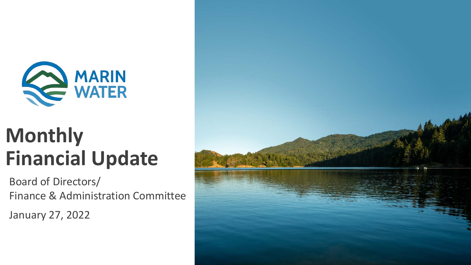

## **Monthly Financial Update**

Board of Directors/ Finance & Administration Committee

January 27, 2022

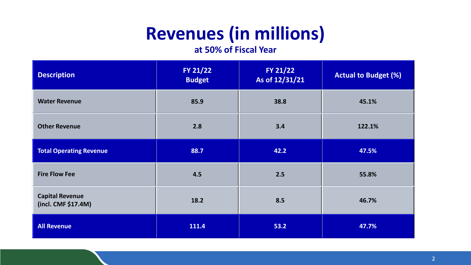### **Revenues (in millions)**

#### **at 50% of Fiscal Year**

| <b>Description</b>                            | FY 21/22<br><b>Budget</b> | FY 21/22<br>As of 12/31/21 | <b>Actual to Budget (%)</b> |
|-----------------------------------------------|---------------------------|----------------------------|-----------------------------|
| <b>Water Revenue</b>                          | 85.9                      | 38.8                       | 45.1%                       |
| <b>Other Revenue</b>                          | 2.8                       | 3.4                        | 122.1%                      |
| <b>Total Operating Revenue</b>                | 88.7                      | 42.2                       | 47.5%                       |
| <b>Fire Flow Fee</b>                          | 4.5                       | 2.5                        | 55.8%                       |
| <b>Capital Revenue</b><br>(incl. CMF \$17.4M) | 18.2                      | 8.5                        | 46.7%                       |
| <b>All Revenue</b>                            | 111.4                     | 53.2                       | 47.7%                       |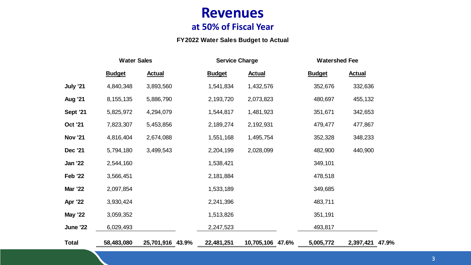#### **Revenues at 50% of Fiscal Year**

#### **FY2022 Water Sales Budget to Actual**

|                 |               | <b>Water Sales</b><br><b>Service Charge</b> |               |                  | <b>Watershed Fee</b> |                 |  |
|-----------------|---------------|---------------------------------------------|---------------|------------------|----------------------|-----------------|--|
|                 | <b>Budget</b> | <b>Actual</b>                               | <b>Budget</b> | <b>Actual</b>    | <b>Budget</b>        | <b>Actual</b>   |  |
| <b>July '21</b> | 4,840,348     | 3,893,560                                   | 1,541,834     | 1,432,576        | 352,676              | 332,636         |  |
| <b>Aug '21</b>  | 8, 155, 135   | 5,886,790                                   | 2,193,720     | 2,073,823        | 480,697              | 455,132         |  |
| <b>Sept '21</b> | 5,825,972     | 4,294,079                                   | 1,544,817     | 1,481,923        | 351,671              | 342,653         |  |
| <b>Oct '21</b>  | 7,823,307     | 5,453,856                                   | 2,189,274     | 2,192,931        | 479,477              | 477,867         |  |
| <b>Nov '21</b>  | 4,816,404     | 2,674,088                                   | 1,551,168     | 1,495,754        | 352,328              | 348,233         |  |
| Dec '21         | 5,794,180     | 3,499,543                                   | 2,204,199     | 2,028,099        | 482,900              | 440,900         |  |
| <b>Jan '22</b>  | 2,544,160     |                                             | 1,538,421     |                  | 349,101              |                 |  |
| <b>Feb '22</b>  | 3,566,451     |                                             | 2,181,884     |                  | 478,518              |                 |  |
| <b>Mar '22</b>  | 2,097,854     |                                             | 1,533,189     |                  | 349,685              |                 |  |
| <b>Apr '22</b>  | 3,930,424     |                                             | 2,241,396     |                  | 483,711              |                 |  |
| <b>May '22</b>  | 3,059,352     |                                             | 1,513,826     |                  | 351,191              |                 |  |
| <b>June '22</b> | 6,029,493     |                                             | 2,247,523     |                  | 493,817              |                 |  |
| <b>Total</b>    | 58,483,080    | 25,701,916 43.9%                            | 22,481,251    | 10,705,106 47.6% | 5,005,772            | 2,397,421 47.9% |  |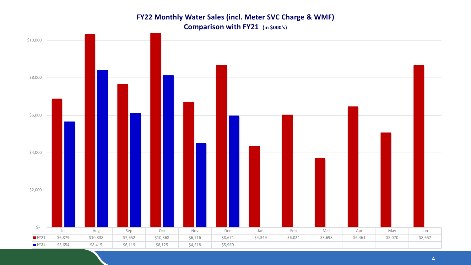#### **FY22 Monthly Water Sales (incl. Meter SVC Charge & WMF) Comparison with FY21 (in \$000's)**

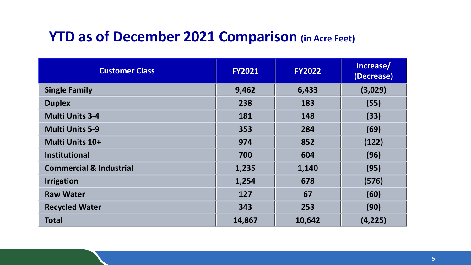### **YTD as of December 2021 Comparison (in Acre Feet)**

| <b>Customer Class</b>              | <b>FY2021</b><br><b>FY2022</b> |        | Increase/<br>(Decrease) |  |
|------------------------------------|--------------------------------|--------|-------------------------|--|
| <b>Single Family</b>               | 9,462                          | 6,433  | (3,029)                 |  |
| <b>Duplex</b>                      | 238                            | 183    | (55)                    |  |
| <b>Multi Units 3-4</b>             | 181                            | 148    | (33)                    |  |
| <b>Multi Units 5-9</b>             | 353                            | 284    | (69)                    |  |
| Multi Units 10+                    | 974                            | 852    | (122)                   |  |
| <b>Institutional</b>               | 700                            | 604    | (96)                    |  |
| <b>Commercial &amp; Industrial</b> | 1,235                          | 1,140  | (95)                    |  |
| <b>Irrigation</b>                  | 1,254                          | 678    | (576)                   |  |
| <b>Raw Water</b>                   | 127                            | 67     | (60)                    |  |
| <b>Recycled Water</b>              | 343                            | 253    | (90)                    |  |
| <b>Total</b>                       | 14,867                         | 10,642 | (4, 225)                |  |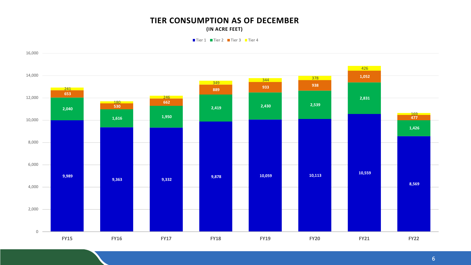#### **TIER CONSUMPTION AS OF DECEMBER (IN ACRE FEET)**

■Tier 1 ■ Tier 2 ■ Tier 3 ■ Tier 4

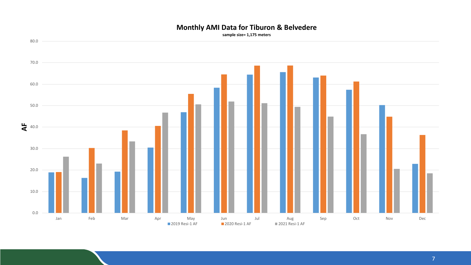#### **Monthly AMI Data for Tiburon & Belvedere**

**sample size= 1,175 meters**

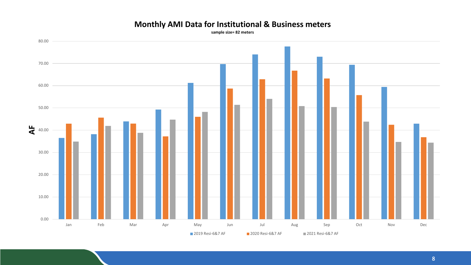

#### **Monthly AMI Data for Institutional & Business meters**

**sample size= 82 meters**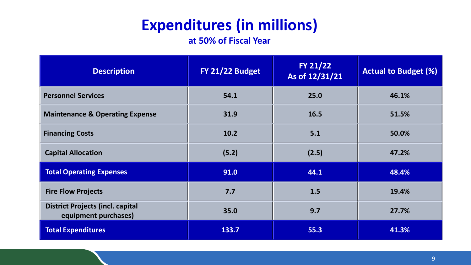### **Expenditures (in millions)**

**at 50% of Fiscal Year**

| <b>Description</b>                                              | FY 21/22 Budget | FY 21/22<br>As of 12/31/21 | <b>Actual to Budget (%)</b> |  |
|-----------------------------------------------------------------|-----------------|----------------------------|-----------------------------|--|
| <b>Personnel Services</b>                                       | 54.1            | 25.0                       | 46.1%                       |  |
| <b>Maintenance &amp; Operating Expense</b>                      | 31.9            | 16.5                       | 51.5%                       |  |
| <b>Financing Costs</b>                                          | 10.2            | 5.1                        | 50.0%                       |  |
| <b>Capital Allocation</b>                                       | (5.2)           | (2.5)                      | 47.2%                       |  |
| <b>Total Operating Expenses</b>                                 | 91.0            | 44.1                       | 48.4%                       |  |
| <b>Fire Flow Projects</b>                                       | 7.7             | 1.5                        | 19.4%                       |  |
| <b>District Projects (incl. capital</b><br>equipment purchases) | 35.0            | 9.7                        | 27.7%                       |  |
| <b>Total Expenditures</b>                                       | 133.7           | 55.3                       | 41.3%                       |  |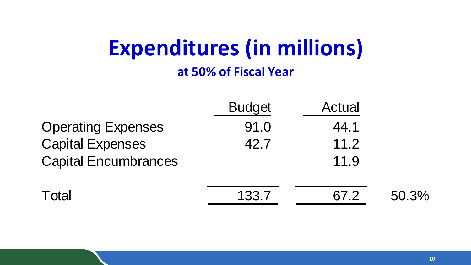# **Expenditures (in millions)**

**at 50% of Fiscal Year**

|                             | <b>Budget</b> | <b>Actual</b> |       |
|-----------------------------|---------------|---------------|-------|
| <b>Operating Expenses</b>   | 91.0          | 44.1          |       |
| <b>Capital Expenses</b>     | 42.7          | 11.2          |       |
| <b>Capital Encumbrances</b> |               | 11.9          |       |
| Total                       | 133.7         | 67.2          | 50.3% |

the contract of the contract of the contract of

**Contractor** 

**Contractor**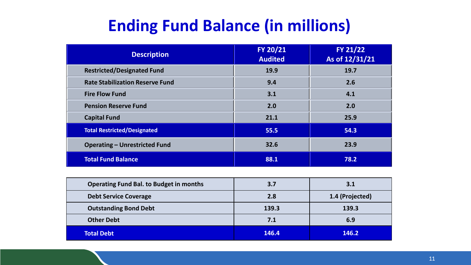### **Ending Fund Balance (in millions)**

| <b>Description</b>                     | FY 20/21<br><b>Audited</b> | FY 21/22<br>As of 12/31/21 |
|----------------------------------------|----------------------------|----------------------------|
| <b>Restricted/Designated Fund</b>      | 19.9                       | 19.7                       |
| <b>Rate Stabilization Reserve Fund</b> | 9.4                        | 2.6                        |
| <b>Fire Flow Fund</b>                  | 3.1                        | 4.1                        |
| <b>Pension Reserve Fund</b>            | 2.0                        | 2.0                        |
| <b>Capital Fund</b>                    | 21.1                       | 25.9                       |
| <b>Total Restricted/Designated</b>     | 55.5                       | 54.3                       |
| <b>Operating - Unrestricted Fund</b>   | 32.6                       | 23.9                       |
| <b>Total Fund Balance</b>              | 88.1                       | 78.2                       |

| <b>Operating Fund Bal. to Budget in months</b> | 3.7   | 3.1             |
|------------------------------------------------|-------|-----------------|
| <b>Debt Service Coverage</b>                   | 2.8   | 1.4 (Projected) |
| <b>Outstanding Bond Debt</b>                   | 139.3 | 139.3           |
| <b>Other Debt</b>                              | 7.1   | 6.9             |
| <b>Total Debt</b>                              | 146.4 | 146.2           |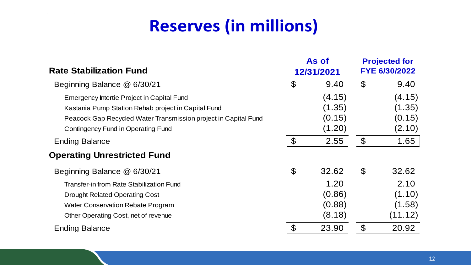### **Reserves (in millions)**

| <b>Rate Stabilization Fund</b>                                                                                                                                                                             |                            | As of<br>12/31/2021                  |                            | <b>Projected for</b><br>FYE 6/30/2022 |
|------------------------------------------------------------------------------------------------------------------------------------------------------------------------------------------------------------|----------------------------|--------------------------------------|----------------------------|---------------------------------------|
| Beginning Balance @ 6/30/21                                                                                                                                                                                | $\boldsymbol{\mathcal{S}}$ | 9.40                                 | $\boldsymbol{\mathcal{S}}$ | 9.40                                  |
| Emergency Intertie Project in Capital Fund<br>Kastania Pump Station Rehab project in Capital Fund<br>Peacock Gap Recycled Water Transmission project in Capital Fund<br>Contingency Fund in Operating Fund |                            | (4.15)<br>(1.35)<br>(0.15)<br>(1.20) |                            | (4.15)<br>(1.35)<br>(0.15)<br>(2.10)  |
| <b>Ending Balance</b>                                                                                                                                                                                      | $\mathfrak{F}$             | 2.55                                 | $\mathfrak{F}$             | 1.65                                  |
| <b>Operating Unrestricted Fund</b>                                                                                                                                                                         |                            |                                      |                            |                                       |
| Beginning Balance @ 6/30/21                                                                                                                                                                                | $\mathcal{C}$              | 32.62                                | $\mathfrak{F}$             | 32.62                                 |
| Transfer-in from Rate Stabilization Fund<br><b>Drought Related Operating Cost</b><br><b>Water Conservation Rebate Program</b><br>Other Operating Cost, net of revenue                                      |                            | 1.20<br>(0.86)<br>(0.88)<br>(8.18)   |                            | 2.10<br>(1.10)<br>(1.58)<br>(11.12)   |
| <b>Ending Balance</b>                                                                                                                                                                                      | $\mathfrak{F}$             | 23.90                                | $\mathcal{C}$              | 20.92                                 |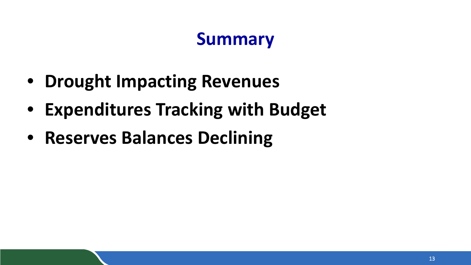### **Summary**

- **Drought Impacting Revenues**
- **Expenditures Tracking with Budget**
- **Reserves Balances Declining**